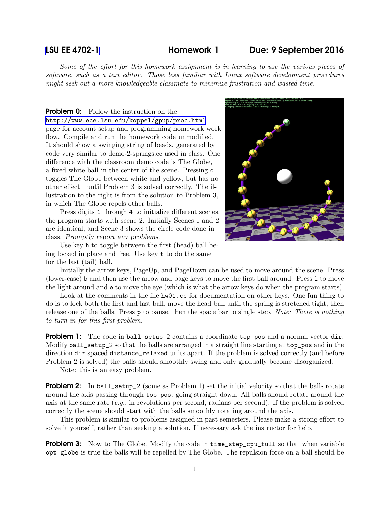## [LSU EE 4702-1](http://www.ece.lsu.edu/koppel/gpup/) Homework 1 Due: 9 September 2016

Some of the effort for this homework assignment is in learning to use the various pieces of software, such as a text editor. Those less familiar with Linux software development procedures might seek out a more knowledgeable classmate to minimize frustration and wasted time.

**Problem 0:** Follow the instruction on the <http://www.ece.lsu.edu/koppel/gpup/proc.html> page for account setup and programming homework work flow. Compile and run the homework code unmodified. It should show a swinging string of beads, generated by code very similar to demo-2-springs.cc used in class. One difference with the classroom demo code is The Globe, a fixed white ball in the center of the scene. Pressing o toggles The Globe between white and yellow, but has no other effect—until Problem 3 is solved correctly. The illustration to the right is from the solution to Problem 3, in which The Globe repels other balls.

Press digits 1 through 4 to initialize different scenes, the program starts with scene 2. Initially Scenes 1 and 2 are identical, and Scene 3 shows the circle code done in class. Promptly report any problems.

Use key h to toggle between the first (head) ball being locked in place and free. Use key t to do the same for the last (tail) ball.



Initially the arrow keys, PageUp, and PageDown can be used to move around the scene. Press (lower-case) b and then use the arrow and page keys to move the first ball around. Press l to move the light around and e to move the eye (which is what the arrow keys do when the program starts).

Look at the comments in the file  $h\text{w01}$ .cc for documentation on other keys. One fun thing to do is to lock both the first and last ball, move the head ball until the spring is stretched tight, then release one of the balls. Press p to pause, then the space bar to single step. Note: There is nothing to turn in for this first problem.

**Problem 1:** The code in ball\_setup\_2 contains a coordinate top\_pos and a normal vector dir. Modify ball\_setup\_2 so that the balls are arranged in a straight line starting at top\_pos and in the direction dir spaced distance\_relaxed units apart. If the problem is solved correctly (and before Problem 2 is solved) the balls should smoothly swing and only gradually become disorganized.

Note: this is an easy problem.

**Problem 2:** In ball\_setup\_2 (some as Problem 1) set the initial velocity so that the balls rotate around the axis passing through top\_pos, going straight down. All balls should rotate around the axis at the same rate  $(e.g.,)$  in revolutions per second, radians per second). If the problem is solved correctly the scene should start with the balls smoothly rotating around the axis.

This problem is similar to problems assigned in past semesters. Please make a strong effort to solve it yourself, rather than seeking a solution. If necessary ask the instructor for help.

**Problem 3:** Now to The Globe. Modify the code in time\_step\_cpu\_full so that when variable opt\_globe is true the balls will be repelled by The Globe. The repulsion force on a ball should be